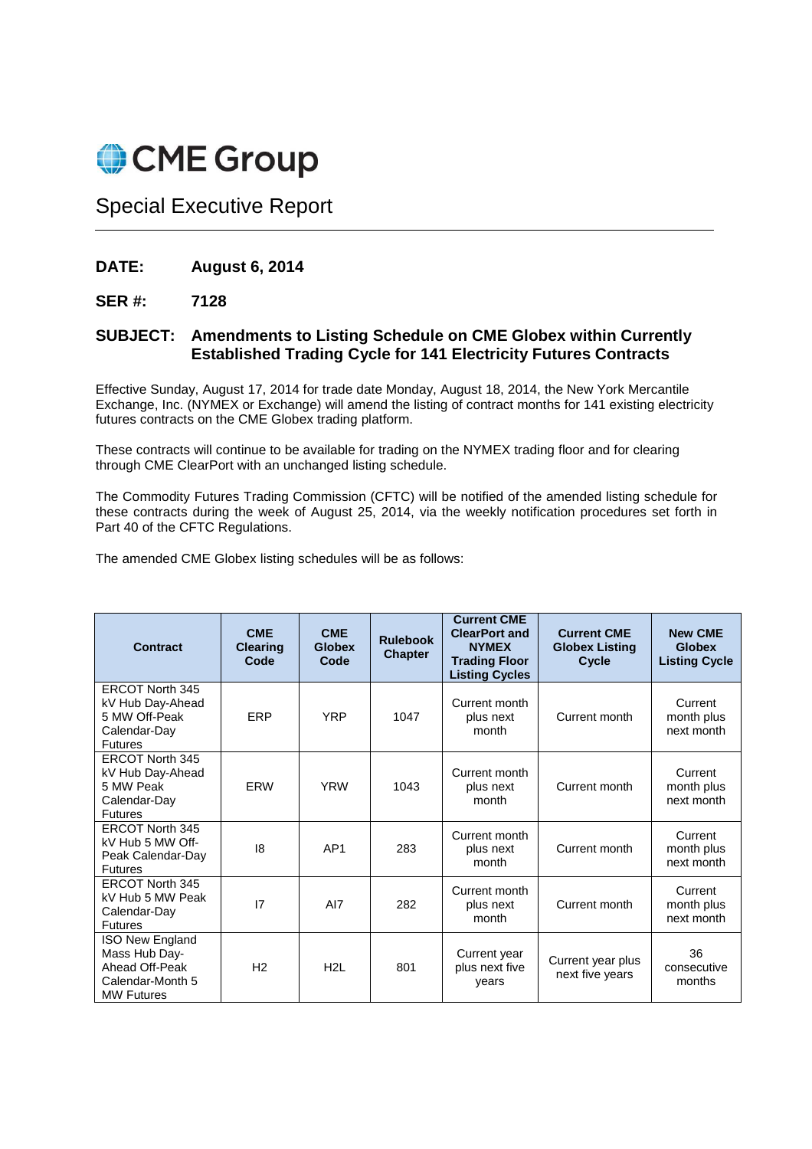

Special Executive Report

## **DATE: August 6, 2014**

## **SER #: 7128**

## **SUBJECT: Amendments to Listing Schedule on CME Globex within Currently Established Trading Cycle for 141 Electricity Futures Contracts**

Effective Sunday, August 17, 2014 for trade date Monday, August 18, 2014, the New York Mercantile Exchange, Inc. (NYMEX or Exchange) will amend the listing of contract months for 141 existing electricity futures contracts on the CME Globex trading platform.

These contracts will continue to be available for trading on the NYMEX trading floor and for clearing through CME ClearPort with an unchanged listing schedule.

The Commodity Futures Trading Commission (CFTC) will be notified of the amended listing schedule for these contracts during the week of August 25, 2014, via the weekly notification procedures set forth in Part 40 of the CFTC Regulations.

The amended CME Globex listing schedules will be as follows:

| <b>Contract</b>                                                                                    | <b>CME</b><br><b>Clearing</b><br>Code | <b>CME</b><br><b>Globex</b><br>Code | <b>Rulebook</b><br><b>Chapter</b> | <b>Current CME</b><br><b>ClearPort and</b><br><b>NYMEX</b><br><b>Trading Floor</b><br><b>Listing Cycles</b> | <b>Current CME</b><br><b>Globex Listing</b><br>Cycle | <b>New CME</b><br><b>Globex</b><br><b>Listing Cycle</b> |
|----------------------------------------------------------------------------------------------------|---------------------------------------|-------------------------------------|-----------------------------------|-------------------------------------------------------------------------------------------------------------|------------------------------------------------------|---------------------------------------------------------|
| <b>ERCOT North 345</b><br>kV Hub Day-Ahead<br>5 MW Off-Peak<br>Calendar-Day<br><b>Futures</b>      | ERP                                   | <b>YRP</b>                          | 1047                              | Current month<br>plus next<br>month                                                                         | Current month                                        | Current<br>month plus<br>next month                     |
| <b>ERCOT North 345</b><br>kV Hub Day-Ahead<br>5 MW Peak<br>Calendar-Day<br><b>Futures</b>          | ERW                                   | <b>YRW</b>                          | 1043                              | Current month<br>plus next<br>month                                                                         | Current month                                        | Current<br>month plus<br>next month                     |
| <b>ERCOT North 345</b><br>kV Hub 5 MW Off-<br>Peak Calendar-Day<br><b>Futures</b>                  | 8                                     | AP <sub>1</sub>                     | 283                               | Current month<br>plus next<br>month                                                                         | Current month                                        | Current<br>month plus<br>next month                     |
| <b>ERCOT North 345</b><br>kV Hub 5 MW Peak<br>Calendar-Day<br><b>Futures</b>                       | 17                                    | AI7                                 | 282                               | Current month<br>plus next<br>month                                                                         | Current month                                        | Current<br>month plus<br>next month                     |
| <b>ISO New England</b><br>Mass Hub Day-<br>Ahead Off-Peak<br>Calendar-Month 5<br><b>MW Futures</b> | H <sub>2</sub>                        | H <sub>2</sub> L                    | 801                               | Current year<br>plus next five<br>years                                                                     | Current year plus<br>next five years                 | 36<br>consecutive<br>months                             |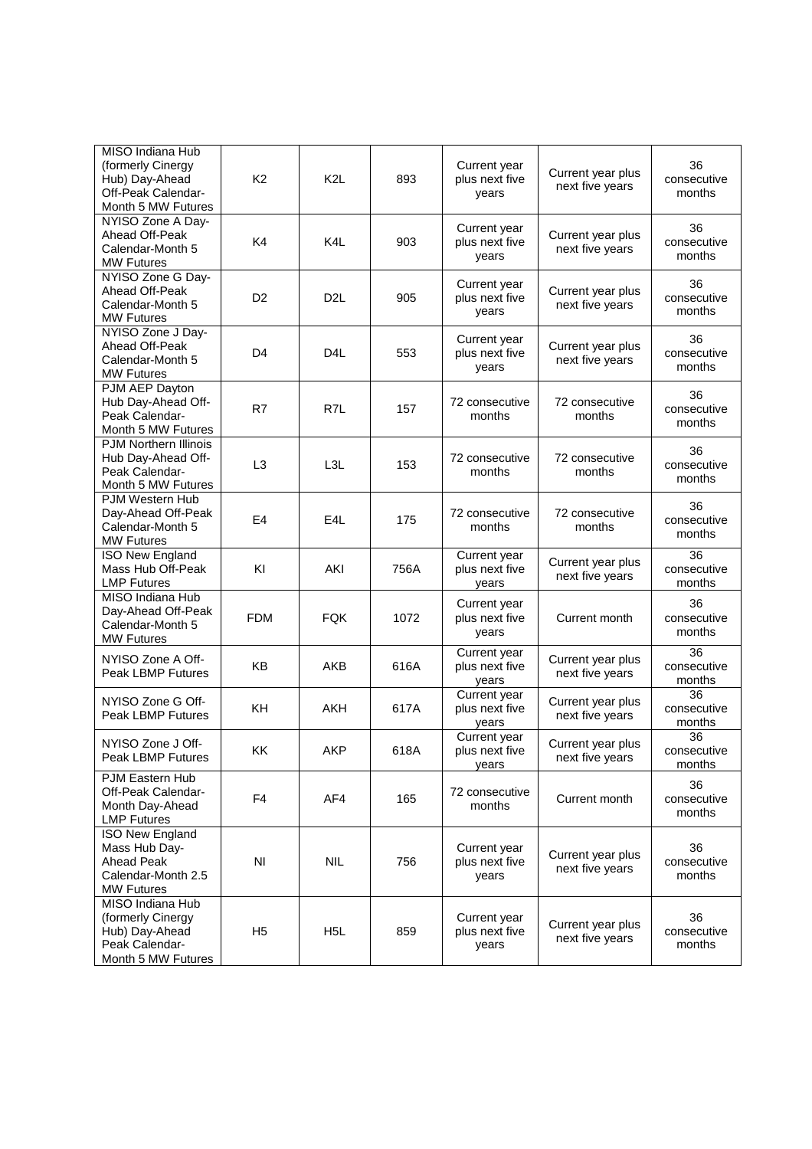| MISO Indiana Hub<br>(formerly Cinergy<br>Hub) Day-Ahead<br>Off-Peak Calendar-<br>Month 5 MW Futures     | K <sub>2</sub> | K <sub>2</sub> L | 893  | Current year<br>plus next five<br>years | Current year plus<br>next five years | 36<br>consecutive<br>months |
|---------------------------------------------------------------------------------------------------------|----------------|------------------|------|-----------------------------------------|--------------------------------------|-----------------------------|
| NYISO Zone A Day-<br>Ahead Off-Peak<br>Calendar-Month 5<br><b>MW Futures</b>                            | K <sub>4</sub> | K <sub>4</sub> L | 903  | Current year<br>plus next five<br>years | Current year plus<br>next five years | 36<br>consecutive<br>months |
| NYISO Zone G Day-<br>Ahead Off-Peak<br>Calendar-Month 5<br><b>MW Futures</b>                            | D <sub>2</sub> | D <sub>2</sub> L | 905  | Current year<br>plus next five<br>years | Current year plus<br>next five years | 36<br>consecutive<br>months |
| NYISO Zone J Dav-<br>Ahead Off-Peak<br>Calendar-Month 5<br><b>MW Futures</b>                            | D <sub>4</sub> | D <sub>4</sub> L | 553  | Current year<br>plus next five<br>years | Current year plus<br>next five years | 36<br>consecutive<br>months |
| PJM AEP Dayton<br>Hub Day-Ahead Off-<br>Peak Calendar-<br>Month 5 MW Futures                            | R7             | R <sub>7</sub> L | 157  | 72 consecutive<br>months                | 72 consecutive<br>months             | 36<br>consecutive<br>months |
| <b>PJM Northern Illinois</b><br>Hub Day-Ahead Off-<br>Peak Calendar-<br>Month 5 MW Futures              | L3             | L3L              | 153  | 72 consecutive<br>months                | 72 consecutive<br>months             | 36<br>consecutive<br>months |
| PJM Western Hub<br>Day-Ahead Off-Peak<br>Calendar-Month 5<br><b>MW Futures</b>                          | E <sub>4</sub> | E <sub>4</sub> L | 175  | 72 consecutive<br>months                | 72 consecutive<br>months             | 36<br>consecutive<br>months |
| <b>ISO New England</b><br>Mass Hub Off-Peak<br><b>LMP Futures</b>                                       | KI             | AKI              | 756A | Current year<br>plus next five<br>years | Current year plus<br>next five years | 36<br>consecutive<br>months |
| MISO Indiana Hub<br>Day-Ahead Off-Peak<br>Calendar-Month 5<br><b>MW Futures</b>                         | FDM            | <b>FQK</b>       | 1072 | Current year<br>plus next five<br>years | Current month                        | 36<br>consecutive<br>months |
| NYISO Zone A Off-<br><b>Peak LBMP Futures</b>                                                           | <b>KB</b>      | AKB              | 616A | Current year<br>plus next five<br>years | Current year plus<br>next five years | 36<br>consecutive<br>months |
| NYISO Zone G Off-<br>Peak LBMP Futures                                                                  | KH             | <b>AKH</b>       | 617A | Current year<br>plus next five<br>years | Current year plus<br>next five years | 36<br>consecutive<br>months |
| NYISO Zone J Off-<br>Peak LBMP Futures                                                                  | ΚK             | AKP              | 618A | Current year<br>plus next five<br>years | Current year plus<br>next five years | 36<br>consecutive<br>months |
| PJM Eastern Hub<br>Off-Peak Calendar-<br>Month Day-Ahead<br><b>LMP Futures</b>                          | F <sub>4</sub> | AF4              | 165  | 72 consecutive<br>months                | Current month                        | 36<br>consecutive<br>months |
| <b>ISO New England</b><br>Mass Hub Day-<br><b>Ahead Peak</b><br>Calendar-Month 2.5<br><b>MW Futures</b> | N <sub>l</sub> | <b>NIL</b>       | 756  | Current year<br>plus next five<br>years | Current year plus<br>next five years | 36<br>consecutive<br>months |
| MISO Indiana Hub<br>(formerly Cinergy<br>Hub) Day-Ahead<br>Peak Calendar-<br>Month 5 MW Futures         | H <sub>5</sub> | H <sub>5</sub> L | 859  | Current year<br>plus next five<br>years | Current year plus<br>next five years | 36<br>consecutive<br>months |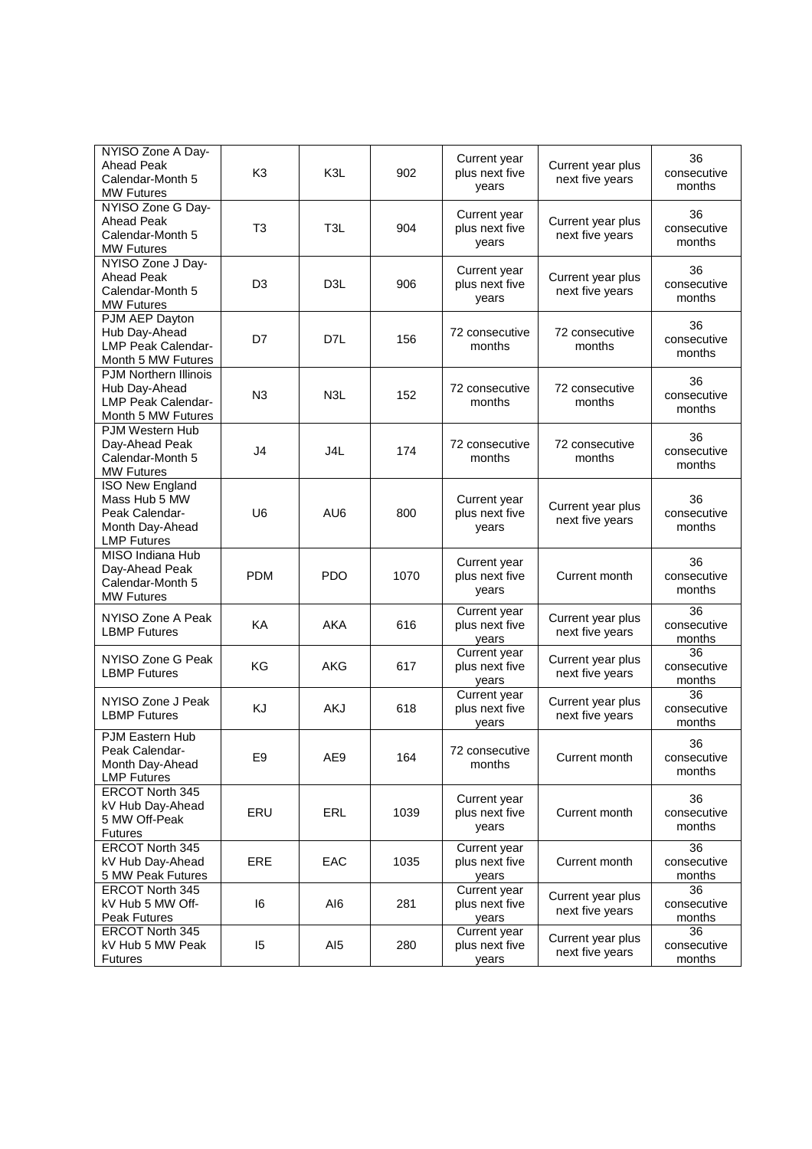| NYISO Zone A Day-<br><b>Ahead Peak</b><br>Calendar-Month 5<br><b>MW Futures</b>                    | K <sub>3</sub> | K3L              | 902  | Current year<br>plus next five<br>years | Current year plus<br>next five years | 36<br>consecutive<br>months |
|----------------------------------------------------------------------------------------------------|----------------|------------------|------|-----------------------------------------|--------------------------------------|-----------------------------|
| NYISO Zone G Day-<br><b>Ahead Peak</b><br>Calendar-Month 5<br><b>MW Futures</b>                    | T <sub>3</sub> | T <sub>3</sub> L | 904  | Current year<br>plus next five<br>years | Current year plus<br>next five years | 36<br>consecutive<br>months |
| NYISO Zone J Day-<br><b>Ahead Peak</b><br>Calendar-Month 5<br><b>MW Futures</b>                    | D3             | D <sub>3</sub> L | 906  | Current year<br>plus next five<br>vears | Current year plus<br>next five years | 36<br>consecutive<br>months |
| PJM AEP Dayton<br>Hub Day-Ahead<br><b>LMP Peak Calendar-</b><br>Month 5 MW Futures                 | D7             | D7L              | 156  | 72 consecutive<br>months                | 72 consecutive<br>months             | 36<br>consecutive<br>months |
| PJM Northern Illinois<br>Hub Day-Ahead<br><b>LMP Peak Calendar-</b><br>Month 5 MW Futures          | N <sub>3</sub> | N <sub>3</sub> L | 152  | 72 consecutive<br>months                | 72 consecutive<br>months             | 36<br>consecutive<br>months |
| PJM Western Hub<br>Day-Ahead Peak<br>Calendar-Month 5<br><b>MW Futures</b>                         | J <sub>4</sub> | J4L              | 174  | 72 consecutive<br>months                | 72 consecutive<br>months             | 36<br>consecutive<br>months |
| <b>ISO New England</b><br>Mass Hub 5 MW<br>Peak Calendar-<br>Month Day-Ahead<br><b>LMP Futures</b> | U <sub>6</sub> | AU6              | 800  | Current year<br>plus next five<br>years | Current year plus<br>next five years | 36<br>consecutive<br>months |
| MISO Indiana Hub<br>Day-Ahead Peak<br>Calendar-Month 5<br><b>MW Futures</b>                        | <b>PDM</b>     | <b>PDO</b>       | 1070 | Current year<br>plus next five<br>years | Current month                        | 36<br>consecutive<br>months |
| NYISO Zone A Peak<br><b>LBMP Futures</b>                                                           | KA             | <b>AKA</b>       | 616  | Current year<br>plus next five<br>years | Current year plus<br>next five years | 36<br>consecutive<br>months |
| NYISO Zone G Peak<br><b>LBMP Futures</b>                                                           | ΚG             | AKG              | 617  | Current year<br>plus next five<br>years | Current year plus<br>next five years | 36<br>consecutive<br>months |
| NYISO Zone J Peak<br><b>LBMP Futures</b>                                                           | KJ             | <b>AKJ</b>       | 618  | Current year<br>plus next five<br>years | Current year plus<br>next five years | 36<br>consecutive<br>months |
| PJM Eastern Hub<br>Peak Calendar-<br>Month Day-Ahead<br><b>LMP Futures</b>                         | E <sub>9</sub> | AE9              | 164  | 72 consecutive<br>months                | Current month                        | 36<br>consecutive<br>months |
| <b>ERCOT North 345</b><br>kV Hub Day-Ahead<br>5 MW Off-Peak<br><b>Futures</b>                      | ERU            | ERL              | 1039 | Current year<br>plus next five<br>years | Current month                        | 36<br>consecutive<br>months |
| ERCOT North 345<br>kV Hub Day-Ahead<br>5 MW Peak Futures                                           | ERE            | EAC              | 1035 | Current year<br>plus next five<br>years | Current month                        | 36<br>consecutive<br>months |
| <b>ERCOT North 345</b><br>kV Hub 5 MW Off-<br><b>Peak Futures</b>                                  | 16             | AI6              | 281  | Current year<br>plus next five<br>years | Current year plus<br>next five years | 36<br>consecutive<br>months |
| <b>ERCOT North 345</b><br>kV Hub 5 MW Peak<br>Futures                                              | 15             | AI <sub>5</sub>  | 280  | Current year<br>plus next five<br>years | Current year plus<br>next five years | 36<br>consecutive<br>months |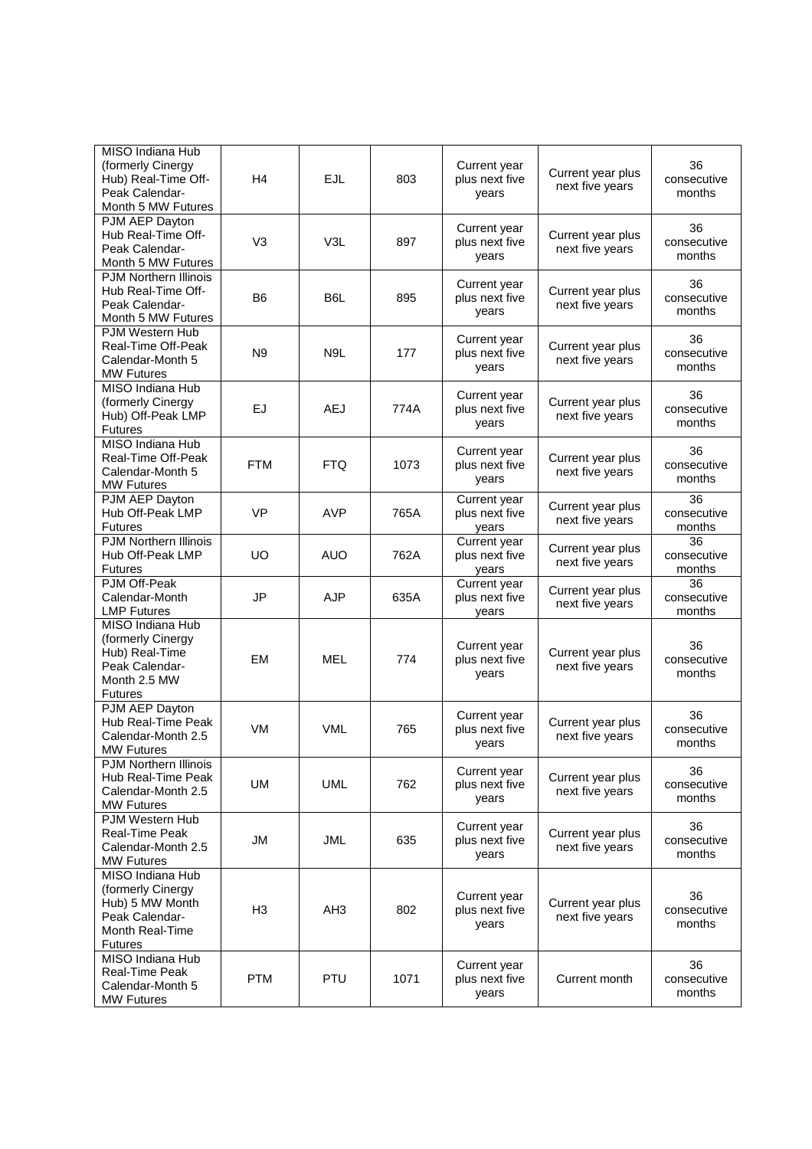| MISO Indiana Hub<br>(formerly Cinergy              |                |                  |      | Current year                   |                                      | 36                    |
|----------------------------------------------------|----------------|------------------|------|--------------------------------|--------------------------------------|-----------------------|
| Hub) Real-Time Off-                                | H4             | <b>EJL</b>       | 803  | plus next five                 | Current year plus<br>next five years | consecutive           |
| Peak Calendar-                                     |                |                  |      | years                          |                                      | months                |
| Month 5 MW Futures<br>PJM AEP Dayton               |                |                  |      |                                |                                      |                       |
| Hub Real-Time Off-                                 | V <sub>3</sub> | V3L              | 897  | Current year                   | Current year plus                    | 36<br>consecutive     |
| Peak Calendar-                                     |                |                  |      | plus next five<br>years        | next five years                      | months                |
| Month 5 MW Futures                                 |                |                  |      |                                |                                      |                       |
| <b>PJM Northern Illinois</b><br>Hub Real-Time Off- |                |                  |      | Current year                   | Current year plus                    | 36                    |
| Peak Calendar-                                     | B <sub>6</sub> | B6L              | 895  | plus next five                 | next five years                      | consecutive           |
| Month 5 MW Futures                                 |                |                  |      | years                          |                                      | months                |
| PJM Western Hub                                    |                |                  |      | Current year                   |                                      | 36                    |
| Real-Time Off-Peak<br>Calendar-Month 5             | N <sub>9</sub> | N <sub>9</sub> L | 177  | plus next five                 | Current year plus                    | consecutive           |
| <b>MW Futures</b>                                  |                |                  |      | years                          | next five years                      | months                |
| MISO Indiana Hub                                   |                |                  |      |                                |                                      |                       |
| (formerly Cinergy                                  | EJ             | <b>AEJ</b>       | 774A | Current year<br>plus next five | Current year plus                    | 36<br>consecutive     |
| Hub) Off-Peak LMP                                  |                |                  |      | years                          | next five years                      | months                |
| <b>Futures</b>                                     |                |                  |      |                                |                                      |                       |
| MISO Indiana Hub<br>Real-Time Off-Peak             |                |                  |      | Current year                   | Current year plus                    | 36                    |
| Calendar-Month 5                                   | <b>FTM</b>     | <b>FTQ</b>       | 1073 | plus next five                 | next five years                      | consecutive           |
| <b>MW Futures</b>                                  |                |                  |      | years                          |                                      | months                |
| PJM AEP Dayton                                     |                |                  |      | Current year                   | Current year plus                    | 36                    |
| Hub Off-Peak LMP                                   | <b>VP</b>      | <b>AVP</b>       | 765A | plus next five                 | next five years                      | consecutive           |
| <b>Futures</b><br><b>PJM Northern Illinois</b>     |                |                  |      | years<br>Current year          |                                      | months<br>36          |
| Hub Off-Peak LMP                                   | UO             | <b>AUO</b>       | 762A | plus next five                 | Current year plus                    | consecutive           |
| <b>Futures</b>                                     |                |                  |      | years                          | next five years                      | months                |
| PJM Off-Peak                                       |                |                  |      | Current year                   | Current year plus                    | 36                    |
| Calendar-Month                                     | <b>JP</b>      | <b>AJP</b>       | 635A | plus next five                 | next five years                      | consecutive           |
| <b>LMP Futures</b><br>MISO Indiana Hub             |                |                  |      | years                          |                                      | months                |
| (formerly Cinergy                                  |                |                  |      |                                |                                      |                       |
| Hub) Real-Time                                     | EM             | <b>MEL</b>       | 774  | Current year<br>plus next five | Current year plus                    | 36<br>consecutive     |
| Peak Calendar-                                     |                |                  |      | years                          | next five years                      | months                |
| Month 2.5 MW                                       |                |                  |      |                                |                                      |                       |
| <b>Futures</b><br>PJM AEP Dayton                   |                |                  |      |                                |                                      |                       |
| Hub Real-Time Peak                                 |                |                  |      | Current year                   | Current year plus                    | 36                    |
| Calendar-Month 2.5                                 | VM             | <b>VML</b>       | 765  | plus next five                 | next five years                      | consecutive<br>months |
| <b>MW Futures</b>                                  |                |                  |      | years                          |                                      |                       |
| <b>PJM Northern Illinois</b>                       |                |                  |      | Current year                   |                                      | 36                    |
| Hub Real-Time Peak<br>Calendar-Month 2.5           | UM             | <b>UML</b>       | 762  | plus next five                 | Current year plus<br>next five years | consecutive           |
| <b>MW Futures</b>                                  |                |                  |      | years                          |                                      | months                |
| PJM Western Hub                                    |                |                  |      |                                |                                      |                       |
| <b>Real-Time Peak</b>                              | JM             | JML              | 635  | Current year<br>plus next five | Current year plus                    | 36<br>consecutive     |
| Calendar-Month 2.5                                 |                |                  |      | years                          | next five years                      | months                |
| <b>MW Futures</b>                                  |                |                  |      |                                |                                      |                       |
| MISO Indiana Hub<br>(formerly Cinergy              |                |                  |      |                                |                                      |                       |
| Hub) 5 MW Month                                    |                |                  |      | Current year                   | Current year plus                    | 36                    |
| Peak Calendar-                                     | H <sub>3</sub> | AH <sub>3</sub>  | 802  | plus next five                 | next five years                      | consecutive<br>months |
| <b>Month Real-Time</b>                             |                |                  |      | years                          |                                      |                       |
| <b>Futures</b>                                     |                |                  |      |                                |                                      |                       |
| MISO Indiana Hub<br>Real-Time Peak                 |                |                  |      | Current year                   |                                      | 36                    |
| Calendar-Month 5                                   | <b>PTM</b>     | <b>PTU</b>       | 1071 | plus next five                 | Current month                        | consecutive           |
| <b>MW Futures</b>                                  |                |                  |      | years                          |                                      | months                |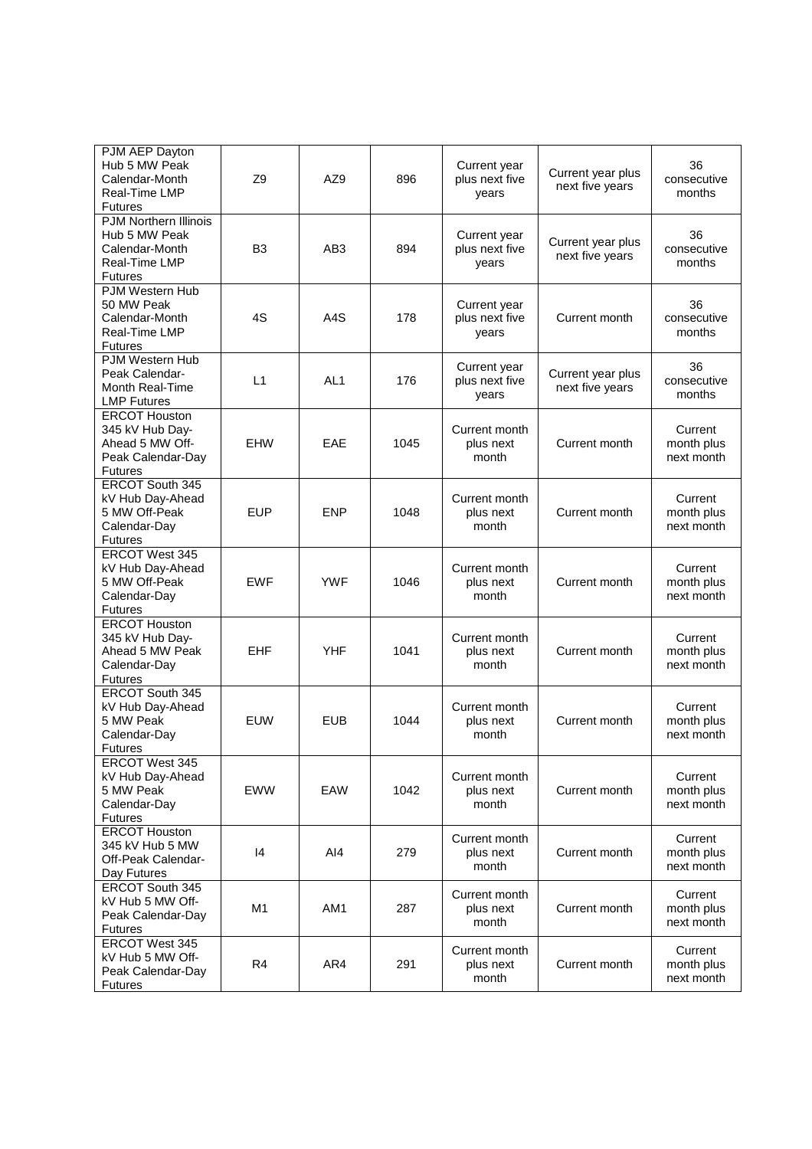| PJM AEP Dayton<br>Hub 5 MW Peak<br>Calendar-Month<br>Real-Time LMP<br><b>Futures</b>               | Z <sub>9</sub> | AZ9             | 896  | Current year<br>plus next five<br>years | Current year plus<br>next five years | 36<br>consecutive<br>months         |
|----------------------------------------------------------------------------------------------------|----------------|-----------------|------|-----------------------------------------|--------------------------------------|-------------------------------------|
| <b>PJM Northern Illinois</b><br>Hub 5 MW Peak<br>Calendar-Month<br>Real-Time LMP<br><b>Futures</b> | B <sub>3</sub> | AB3             | 894  | Current year<br>plus next five<br>years | Current year plus<br>next five years | 36<br>consecutive<br>months         |
| PJM Western Hub<br>50 MW Peak<br>Calendar-Month<br>Real-Time LMP<br><b>Futures</b>                 | 4S             | A4S             | 178  | Current year<br>plus next five<br>years | Current month                        | 36<br>consecutive<br>months         |
| PJM Western Hub<br>Peak Calendar-<br>Month Real-Time<br><b>LMP Futures</b>                         | L1             | AL <sub>1</sub> | 176  | Current year<br>plus next five<br>years | Current year plus<br>next five years | 36<br>consecutive<br>months         |
| <b>ERCOT Houston</b><br>345 kV Hub Day-<br>Ahead 5 MW Off-<br>Peak Calendar-Day<br><b>Futures</b>  | <b>EHW</b>     | EAE             | 1045 | Current month<br>plus next<br>month     | Current month                        | Current<br>month plus<br>next month |
| <b>ERCOT South 345</b><br>kV Hub Day-Ahead<br>5 MW Off-Peak<br>Calendar-Day<br><b>Futures</b>      | EUP            | <b>ENP</b>      | 1048 | Current month<br>plus next<br>month     | Current month                        | Current<br>month plus<br>next month |
| <b>ERCOT West 345</b><br>kV Hub Day-Ahead<br>5 MW Off-Peak<br>Calendar-Day<br><b>Futures</b>       | <b>EWF</b>     | <b>YWF</b>      | 1046 | Current month<br>plus next<br>month     | Current month                        | Current<br>month plus<br>next month |
| <b>ERCOT Houston</b><br>345 kV Hub Day-<br>Ahead 5 MW Peak<br>Calendar-Day<br><b>Futures</b>       | EHF            | <b>YHF</b>      | 1041 | Current month<br>plus next<br>month     | Current month                        | Current<br>month plus<br>next month |
| ERCOT South 345<br>kV Hub Day-Ahead<br>5 MW Peak<br>Calendar-Day<br><b>Futures</b>                 | <b>EUW</b>     | <b>EUB</b>      | 1044 | Current month<br>plus next<br>month     | Current month                        | Current<br>month plus<br>next month |
| <b>ERCOT West 345</b><br>kV Hub Day-Ahead<br>5 MW Peak<br>Calendar-Day<br><b>Futures</b>           | <b>EWW</b>     | EAW             | 1042 | Current month<br>plus next<br>month     | Current month                        | Current<br>month plus<br>next month |
| <b>ERCOT Houston</b><br>345 kV Hub 5 MW<br>Off-Peak Calendar-<br>Day Futures                       | 4              | AI4             | 279  | Current month<br>plus next<br>month     | Current month                        | Current<br>month plus<br>next month |
| ERCOT South 345<br>kV Hub 5 MW Off-<br>Peak Calendar-Day<br><b>Futures</b>                         | M1             | AM1             | 287  | Current month<br>plus next<br>month     | Current month                        | Current<br>month plus<br>next month |
| <b>ERCOT West 345</b><br>kV Hub 5 MW Off-<br>Peak Calendar-Day<br><b>Futures</b>                   | R <sub>4</sub> | AR4             | 291  | Current month<br>plus next<br>month     | Current month                        | Current<br>month plus<br>next month |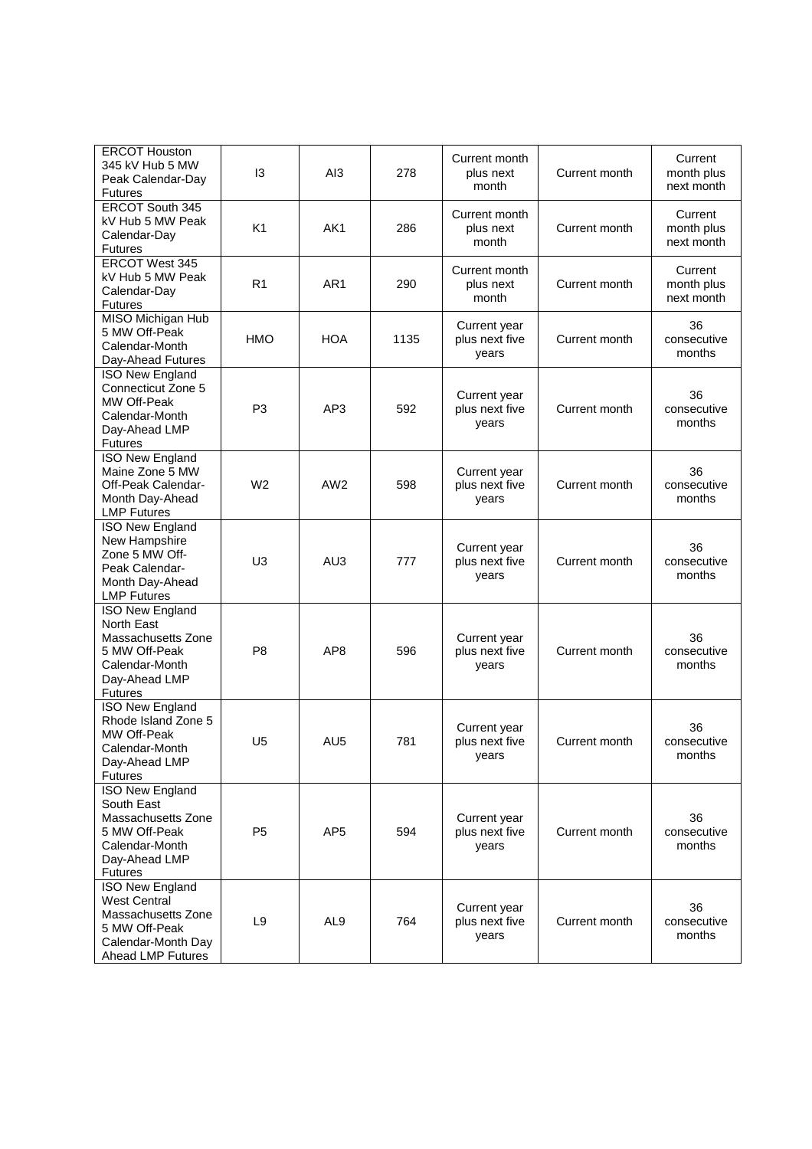| <b>ERCOT Houston</b><br>345 kV Hub 5 MW<br>Peak Calendar-Day<br><b>Futures</b>                                                         | 13             | AI3             | 278  | Current month<br>plus next<br>month     | Current month | Current<br>month plus<br>next month |
|----------------------------------------------------------------------------------------------------------------------------------------|----------------|-----------------|------|-----------------------------------------|---------------|-------------------------------------|
| ERCOT South 345<br>kV Hub 5 MW Peak<br>Calendar-Day<br><b>Futures</b>                                                                  | K <sub>1</sub> | AK1             | 286  | Current month<br>plus next<br>month     | Current month | Current<br>month plus<br>next month |
| <b>ERCOT West 345</b><br>kV Hub 5 MW Peak<br>Calendar-Day<br><b>Futures</b>                                                            | R1             | AR1             | 290  | Current month<br>plus next<br>month     | Current month | Current<br>month plus<br>next month |
| MISO Michigan Hub<br>5 MW Off-Peak<br>Calendar-Month<br>Day-Ahead Futures                                                              | HMO            | <b>HOA</b>      | 1135 | Current year<br>plus next five<br>years | Current month | 36<br>consecutive<br>months         |
| <b>ISO New England</b><br>Connecticut Zone 5<br>MW Off-Peak<br>Calendar-Month<br>Day-Ahead LMP<br><b>Futures</b>                       | P <sub>3</sub> | AP3             | 592  | Current year<br>plus next five<br>years | Current month | 36<br>consecutive<br>months         |
| <b>ISO New England</b><br>Maine Zone 5 MW<br>Off-Peak Calendar-<br>Month Day-Ahead<br><b>LMP Futures</b>                               | W <sub>2</sub> | AW <sub>2</sub> | 598  | Current year<br>plus next five<br>years | Current month | 36<br>consecutive<br>months         |
| <b>ISO New England</b><br>New Hampshire<br>Zone 5 MW Off-<br>Peak Calendar-<br>Month Day-Ahead<br><b>LMP Futures</b>                   | U3             | AU <sub>3</sub> | 777  | Current year<br>plus next five<br>years | Current month | 36<br>consecutive<br>months         |
| <b>ISO New England</b><br>North East<br>Massachusetts Zone<br>5 MW Off-Peak<br>Calendar-Month<br>Day-Ahead LMP<br><b>Futures</b>       | P <sub>8</sub> | AP <sub>8</sub> | 596  | Current year<br>plus next five<br>years | Current month | 36<br>consecutive<br>months         |
| <b>ISO New England</b><br>Rhode Island Zone 5<br>MW Off-Peak<br>Calendar-Month<br>Day-Ahead LMP<br><b>Futures</b>                      | U5             | AU <sub>5</sub> | 781  | Current year<br>plus next five<br>years | Current month | 36<br>consecutive<br>months         |
| <b>ISO New England</b><br>South East<br>Massachusetts Zone<br>5 MW Off-Peak<br>Calendar-Month<br>Day-Ahead LMP<br><b>Futures</b>       | P <sub>5</sub> | AP <sub>5</sub> | 594  | Current year<br>plus next five<br>years | Current month | 36<br>consecutive<br>months         |
| <b>ISO New England</b><br><b>West Central</b><br>Massachusetts Zone<br>5 MW Off-Peak<br>Calendar-Month Day<br><b>Ahead LMP Futures</b> | L <sub>9</sub> | AL <sub>9</sub> | 764  | Current year<br>plus next five<br>years | Current month | 36<br>consecutive<br>months         |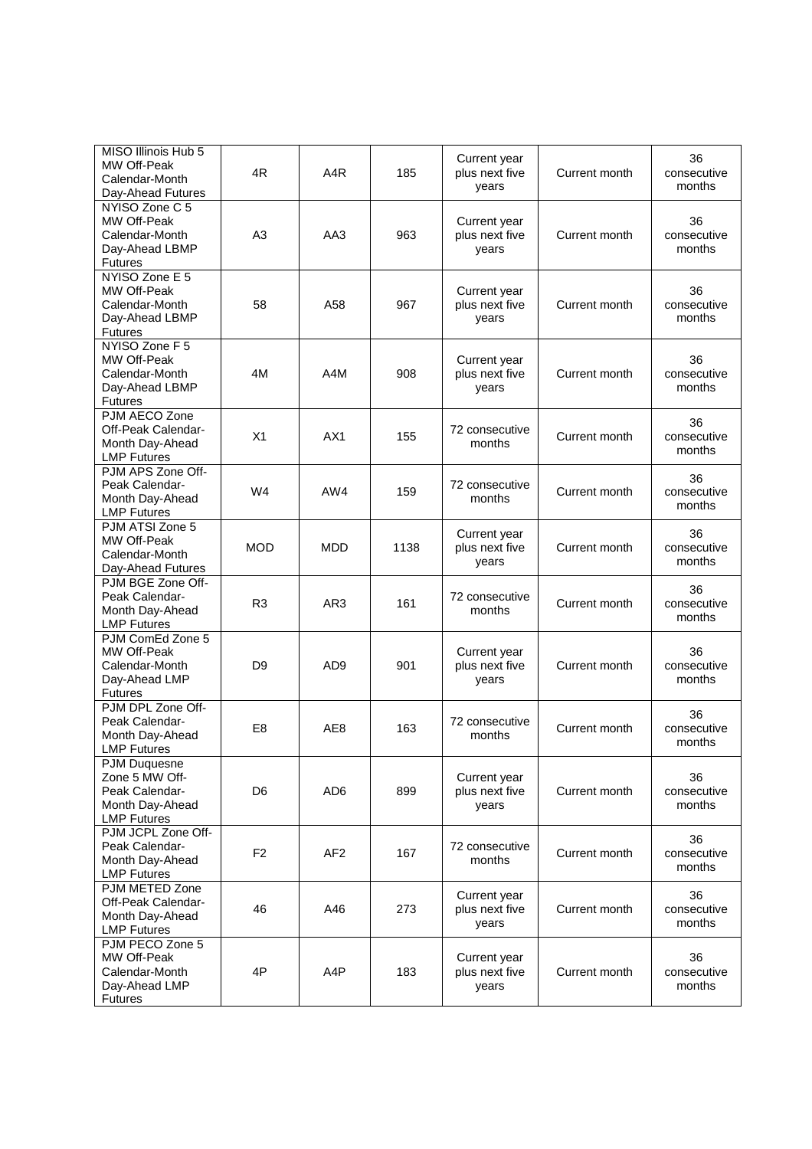| MISO Illinois Hub 5<br>MW Off-Peak<br>Calendar-Month<br>Day-Ahead Futures                        | 4R             | A <sub>4</sub> R | 185  | Current year<br>plus next five<br>years | Current month | 36<br>consecutive<br>months |
|--------------------------------------------------------------------------------------------------|----------------|------------------|------|-----------------------------------------|---------------|-----------------------------|
| NYISO Zone C 5<br>MW Off-Peak<br>Calendar-Month<br>Day-Ahead LBMP<br><b>Futures</b>              | A <sub>3</sub> | AA3              | 963  | Current year<br>plus next five<br>years | Current month | 36<br>consecutive<br>months |
| NYISO Zone E 5<br>MW Off-Peak<br>Calendar-Month<br>Day-Ahead LBMP<br><b>Futures</b>              | 58             | A58              | 967  | Current year<br>plus next five<br>vears | Current month | 36<br>consecutive<br>months |
| NYISO Zone F 5<br>MW Off-Peak<br>Calendar-Month<br>Day-Ahead LBMP<br><b>Futures</b>              | 4M             | A4M              | 908  | Current year<br>plus next five<br>years | Current month | 36<br>consecutive<br>months |
| PJM AECO Zone<br>Off-Peak Calendar-<br>Month Day-Ahead<br><b>LMP Futures</b>                     | X1             | AX1              | 155  | 72 consecutive<br>months                | Current month | 36<br>consecutive<br>months |
| PJM APS Zone Off-<br>Peak Calendar-<br>Month Day-Ahead<br><b>LMP Futures</b>                     | W <sub>4</sub> | AW4              | 159  | 72 consecutive<br>months                | Current month | 36<br>consecutive<br>months |
| PJM ATSI Zone 5<br>MW Off-Peak<br>Calendar-Month<br>Day-Ahead Futures                            | <b>MOD</b>     | MDD              | 1138 | Current year<br>plus next five<br>years | Current month | 36<br>consecutive<br>months |
| PJM BGE Zone Off-<br>Peak Calendar-<br>Month Day-Ahead<br><b>LMP Futures</b>                     | R <sub>3</sub> | AR <sub>3</sub>  | 161  | 72 consecutive<br>months                | Current month | 36<br>consecutive<br>months |
| PJM ComEd Zone 5<br>MW Off-Peak<br>Calendar-Month<br>Day-Ahead LMP<br><b>Futures</b>             | D9             | AD <sub>9</sub>  | 901  | Current year<br>plus next five<br>years | Current month | 36<br>consecutive<br>months |
| PJM DPL Zone Off-<br>Peak Calendar-<br>Month Day-Ahead<br><b>LMP Futures</b>                     | E <sub>8</sub> | AE8              | 163  | 72 consecutive<br>months                | Current month | 36<br>consecutive<br>months |
| <b>PJM Duquesne</b><br>Zone 5 MW Off-<br>Peak Calendar-<br>Month Day-Ahead<br><b>LMP Futures</b> | D6             | AD <sub>6</sub>  | 899  | Current year<br>plus next five<br>vears | Current month | 36<br>consecutive<br>months |
| PJM JCPL Zone Off-<br>Peak Calendar-<br>Month Day-Ahead<br><b>LMP Futures</b>                    | F <sub>2</sub> | AF <sub>2</sub>  | 167  | 72 consecutive<br>months                | Current month | 36<br>consecutive<br>months |
| PJM METED Zone<br>Off-Peak Calendar-<br>Month Day-Ahead<br><b>LMP Futures</b>                    | 46             | A46              | 273  | Current year<br>plus next five<br>years | Current month | 36<br>consecutive<br>months |
| PJM PECO Zone 5<br>MW Off-Peak<br>Calendar-Month<br>Day-Ahead LMP<br><b>Futures</b>              | 4P             | A4P              | 183  | Current year<br>plus next five<br>years | Current month | 36<br>consecutive<br>months |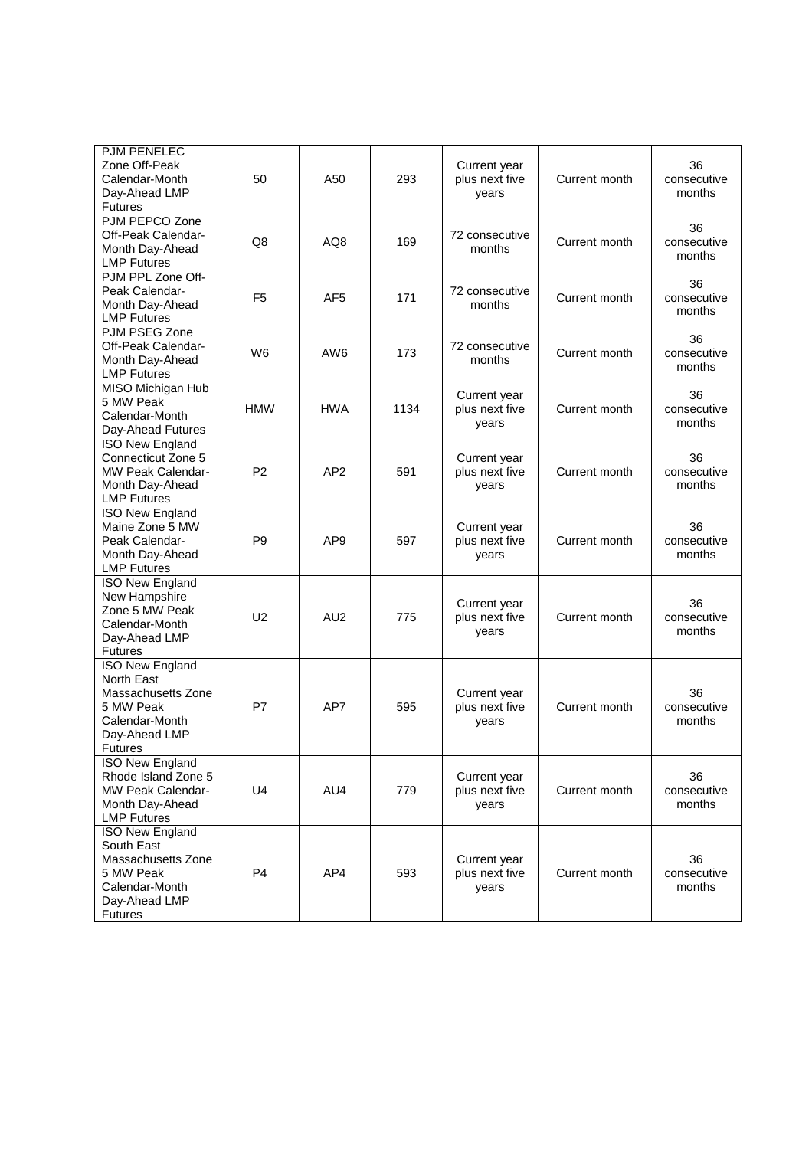| PJM PENELEC<br>Zone Off-Peak<br>Calendar-Month<br>Day-Ahead LMP<br><b>Futures</b>                                                   | 50             | A50             | 293  | Current year<br>plus next five<br>years | Current month | 36<br>consecutive<br>months |
|-------------------------------------------------------------------------------------------------------------------------------------|----------------|-----------------|------|-----------------------------------------|---------------|-----------------------------|
| PJM PEPCO Zone<br>Off-Peak Calendar-<br>Month Day-Ahead<br><b>LMP Futures</b>                                                       | Q8             | AQ8             | 169  | 72 consecutive<br>months                | Current month | 36<br>consecutive<br>months |
| PJM PPL Zone Off-<br>Peak Calendar-<br>Month Day-Ahead<br><b>LMP Futures</b>                                                        | F <sub>5</sub> | AF5             | 171  | 72 consecutive<br>months                | Current month | 36<br>consecutive<br>months |
| PJM PSEG Zone<br>Off-Peak Calendar-<br>Month Day-Ahead<br><b>LMP Futures</b>                                                        | W <sub>6</sub> | AW <sub>6</sub> | 173  | 72 consecutive<br>months                | Current month | 36<br>consecutive<br>months |
| MISO Michigan Hub<br>5 MW Peak<br>Calendar-Month<br>Day-Ahead Futures                                                               | <b>HMW</b>     | <b>HWA</b>      | 1134 | Current year<br>plus next five<br>vears | Current month | 36<br>consecutive<br>months |
| <b>ISO New England</b><br>Connecticut Zone 5<br><b>MW Peak Calendar-</b><br>Month Day-Ahead<br><b>LMP Futures</b>                   | P <sub>2</sub> | AP <sub>2</sub> | 591  | Current year<br>plus next five<br>years | Current month | 36<br>consecutive<br>months |
| <b>ISO New England</b><br>Maine Zone 5 MW<br>Peak Calendar-<br>Month Day-Ahead<br><b>LMP Futures</b>                                | P <sub>9</sub> | AP <sub>9</sub> | 597  | Current year<br>plus next five<br>years | Current month | 36<br>consecutive<br>months |
| <b>ISO New England</b><br>New Hampshire<br>Zone 5 MW Peak<br>Calendar-Month<br>Day-Ahead LMP<br><b>Futures</b>                      | U <sub>2</sub> | AU <sub>2</sub> | 775  | Current year<br>plus next five<br>years | Current month | 36<br>consecutive<br>months |
| <b>ISO New England</b><br><b>North East</b><br>Massachusetts Zone<br>5 MW Peak<br>Calendar-Month<br>Day-Ahead LMP<br><b>Futures</b> | P7             | AP7             | 595  | Current year<br>plus next five<br>years | Current month | 36<br>consecutive<br>months |
| ISO New England<br>Rhode Island Zone 5<br><b>MW Peak Calendar-</b><br>Month Day-Ahead<br><b>LMP Futures</b>                         | U4             | AU4             | 779  | Current year<br>plus next five<br>years | Current month | 36<br>consecutive<br>months |
| <b>ISO New England</b><br>South East<br>Massachusetts Zone<br>5 MW Peak<br>Calendar-Month<br>Day-Ahead LMP<br><b>Futures</b>        | P <sub>4</sub> | AP4             | 593  | Current year<br>plus next five<br>years | Current month | 36<br>consecutive<br>months |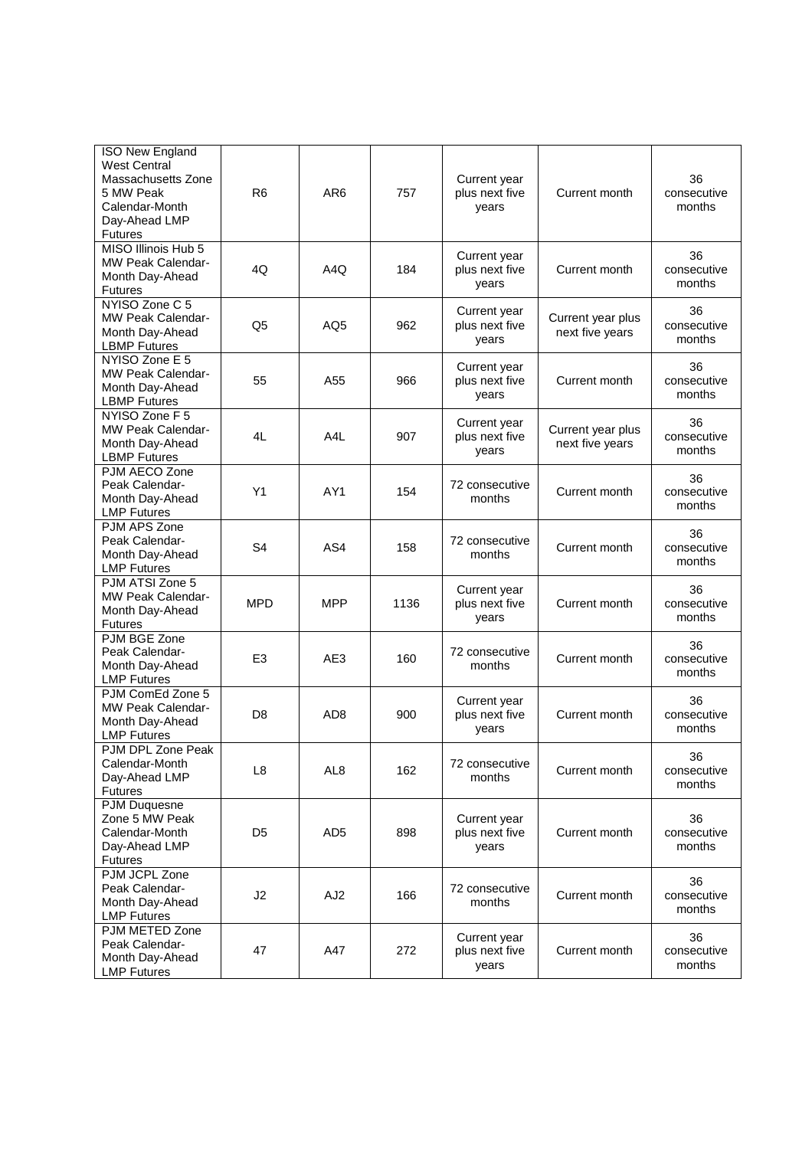| <b>ISO New England</b><br><b>West Central</b><br>Massachusetts Zone<br>5 MW Peak<br>Calendar-Month<br>Day-Ahead LMP<br><b>Futures</b> | R <sub>6</sub> | AR <sub>6</sub>  | 757  | Current year<br>plus next five<br>years | Current month                        | 36<br>consecutive<br>months |
|---------------------------------------------------------------------------------------------------------------------------------------|----------------|------------------|------|-----------------------------------------|--------------------------------------|-----------------------------|
| MISO Illinois Hub 5<br><b>MW Peak Calendar-</b><br>Month Day-Ahead<br><b>Futures</b>                                                  | 4Q             | A4Q              | 184  | Current year<br>plus next five<br>years | Current month                        | 36<br>consecutive<br>months |
| NYISO Zone C 5<br>MW Peak Calendar-<br>Month Day-Ahead<br><b>LBMP Futures</b>                                                         | Q <sub>5</sub> | AQ <sub>5</sub>  | 962  | Current year<br>plus next five<br>years | Current year plus<br>next five years | 36<br>consecutive<br>months |
| NYISO Zone E 5<br>MW Peak Calendar-<br>Month Day-Ahead<br><b>LBMP Futures</b>                                                         | 55             | A55              | 966  | Current year<br>plus next five<br>years | Current month                        | 36<br>consecutive<br>months |
| NYISO Zone F 5<br>MW Peak Calendar-<br>Month Day-Ahead<br><b>LBMP Futures</b>                                                         | 4L             | A <sub>4</sub> L | 907  | Current year<br>plus next five<br>years | Current year plus<br>next five years | 36<br>consecutive<br>months |
| PJM AECO Zone<br>Peak Calendar-<br>Month Day-Ahead<br><b>LMP Futures</b>                                                              | Y1             | AY1              | 154  | 72 consecutive<br>months                | Current month                        | 36<br>consecutive<br>months |
| PJM APS Zone<br>Peak Calendar-<br>Month Day-Ahead<br><b>LMP Futures</b>                                                               | S <sub>4</sub> | AS4              | 158  | 72 consecutive<br>months                | Current month                        | 36<br>consecutive<br>months |
| PJM ATSI Zone 5<br>MW Peak Calendar-<br>Month Day-Ahead<br><b>Futures</b>                                                             | <b>MPD</b>     | <b>MPP</b>       | 1136 | Current year<br>plus next five<br>years | Current month                        | 36<br>consecutive<br>months |
| PJM BGE Zone<br>Peak Calendar-<br>Month Day-Ahead<br><b>LMP Futures</b>                                                               | E <sub>3</sub> | AE3              | 160  | 72 consecutive<br>months                | Current month                        | 36<br>consecutive<br>months |
| PJM ComEd Zone 5<br>MW Peak Calendar-<br>Month Day-Ahead<br><b>LMP Futures</b>                                                        | D <sub>8</sub> | AD <sub>8</sub>  | 900  | Current year<br>plus next five<br>years | Current month                        | 36<br>consecutive<br>months |
| PJM DPL Zone Peak<br>Calendar-Month<br>Day-Ahead LMP<br><b>Futures</b>                                                                | L <sub>8</sub> | AL <sub>8</sub>  | 162  | 72 consecutive<br>months                | Current month                        | 36<br>consecutive<br>months |
| PJM Duquesne<br>Zone 5 MW Peak<br>Calendar-Month<br>Day-Ahead LMP<br><b>Futures</b>                                                   | D5             | AD <sub>5</sub>  | 898  | Current year<br>plus next five<br>years | Current month                        | 36<br>consecutive<br>months |
| PJM JCPL Zone<br>Peak Calendar-<br>Month Day-Ahead<br><b>LMP Futures</b>                                                              | J2             | AJ <sub>2</sub>  | 166  | 72 consecutive<br>months                | Current month                        | 36<br>consecutive<br>months |
| PJM METED Zone<br>Peak Calendar-<br>Month Day-Ahead<br><b>LMP Futures</b>                                                             | 47             | A47              | 272  | Current year<br>plus next five<br>years | Current month                        | 36<br>consecutive<br>months |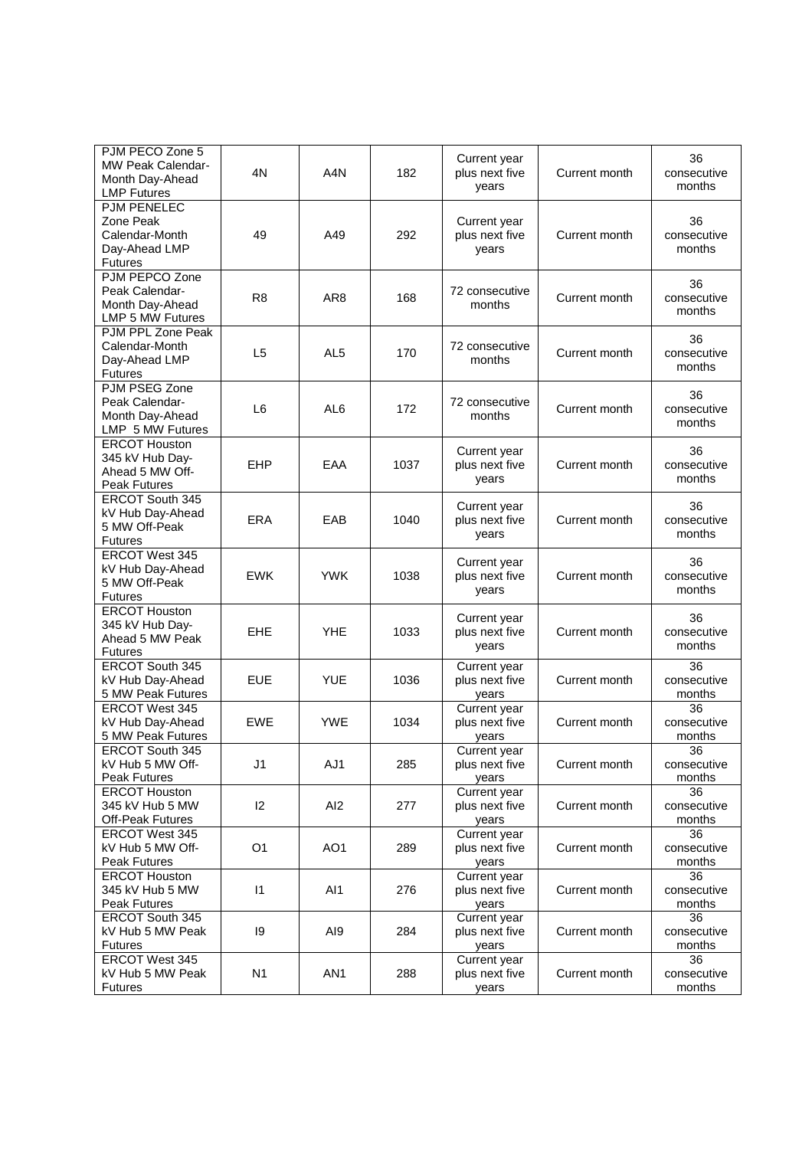| PJM PECO Zone 5<br><b>MW Peak Calendar-</b><br>Month Day-Ahead<br><b>LMP Futures</b> | 4N             | A <sub>4</sub> N | 182  | Current year<br>plus next five<br>years | Current month | 36<br>consecutive<br>months |
|--------------------------------------------------------------------------------------|----------------|------------------|------|-----------------------------------------|---------------|-----------------------------|
| <b>PJM PENELEC</b><br>Zone Peak<br>Calendar-Month<br>Day-Ahead LMP<br><b>Futures</b> | 49             | A49              | 292  | Current year<br>plus next five<br>years | Current month | 36<br>consecutive<br>months |
| PJM PEPCO Zone<br>Peak Calendar-<br>Month Day-Ahead<br>LMP 5 MW Futures              | R <sub>8</sub> | AR <sub>8</sub>  | 168  | 72 consecutive<br>months                | Current month | 36<br>consecutive<br>months |
| PJM PPL Zone Peak<br>Calendar-Month<br>Day-Ahead LMP<br><b>Futures</b>               | L <sub>5</sub> | AL <sub>5</sub>  | 170  | 72 consecutive<br>months                | Current month | 36<br>consecutive<br>months |
| PJM PSEG Zone<br>Peak Calendar-<br>Month Day-Ahead<br>LMP 5 MW Futures               | L6             | AL <sub>6</sub>  | 172  | 72 consecutive<br>months                | Current month | 36<br>consecutive<br>months |
| <b>ERCOT Houston</b><br>345 kV Hub Day-<br>Ahead 5 MW Off-<br><b>Peak Futures</b>    | EHP            | EAA              | 1037 | Current year<br>plus next five<br>years | Current month | 36<br>consecutive<br>months |
| <b>ERCOT South 345</b><br>kV Hub Day-Ahead<br>5 MW Off-Peak<br><b>Futures</b>        | <b>ERA</b>     | EAB              | 1040 | Current year<br>plus next five<br>years | Current month | 36<br>consecutive<br>months |
| ERCOT West 345<br>kV Hub Day-Ahead<br>5 MW Off-Peak<br><b>Futures</b>                | <b>EWK</b>     | <b>YWK</b>       | 1038 | Current year<br>plus next five<br>years | Current month | 36<br>consecutive<br>months |
| <b>ERCOT Houston</b><br>345 kV Hub Day-<br>Ahead 5 MW Peak<br><b>Futures</b>         | <b>EHE</b>     | <b>YHE</b>       | 1033 | Current year<br>plus next five<br>years | Current month | 36<br>consecutive<br>months |
| ERCOT South 345<br>kV Hub Day-Ahead<br>5 MW Peak Futures                             | <b>EUE</b>     | <b>YUE</b>       | 1036 | Current year<br>plus next five<br>years | Current month | 36<br>consecutive<br>months |
| <b>ERCOT West 345</b><br>kV Hub Day-Ahead<br>5 MW Peak Futures                       | <b>EWE</b>     | <b>YWE</b>       | 1034 | Current year<br>plus next five<br>years | Current month | 36<br>consecutive<br>months |
| ERCOT South 345<br>kV Hub 5 MW Off-<br><b>Peak Futures</b>                           | J <sub>1</sub> | AJ1              | 285  | Current year<br>plus next five<br>years | Current month | 36<br>consecutive<br>months |
| <b>ERCOT Houston</b><br>345 kV Hub 5 MW<br>Off-Peak Futures                          | 12             | AI <sub>2</sub>  | 277  | Current year<br>plus next five<br>years | Current month | 36<br>consecutive<br>months |
| ERCOT West 345<br>kV Hub 5 MW Off-<br><b>Peak Futures</b>                            | O <sub>1</sub> | AO <sub>1</sub>  | 289  | Current year<br>plus next five<br>years | Current month | 36<br>consecutive<br>months |
| <b>ERCOT Houston</b><br>345 kV Hub 5 MW<br><b>Peak Futures</b>                       | $\mathsf{I}$   | AI <sub>1</sub>  | 276  | Current year<br>plus next five<br>years | Current month | 36<br>consecutive<br>months |
| ERCOT South 345<br>kV Hub 5 MW Peak<br><b>Futures</b>                                | 19             | AI9              | 284  | Current year<br>plus next five<br>years | Current month | 36<br>consecutive<br>months |
| ERCOT West 345<br>kV Hub 5 MW Peak<br><b>Futures</b>                                 | N1             | AN <sub>1</sub>  | 288  | Current year<br>plus next five<br>years | Current month | 36<br>consecutive<br>months |